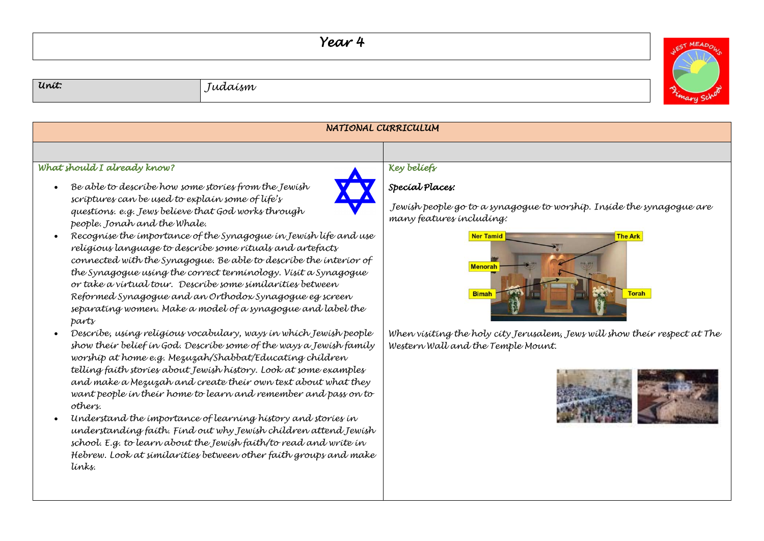## *Year 4*

WEST MEADOW



| NATIONAL CURRICULUM                                                                                                                                                                                                                                                                                                                                                                                                                                                                                                                                                                                                                                                                                                                                                                                                                                                                                                                                                                                                                                                                                                                                                                                                                                                                                                                                                                    |                                                                                                                                                                                                                                                                                                                          |  |
|----------------------------------------------------------------------------------------------------------------------------------------------------------------------------------------------------------------------------------------------------------------------------------------------------------------------------------------------------------------------------------------------------------------------------------------------------------------------------------------------------------------------------------------------------------------------------------------------------------------------------------------------------------------------------------------------------------------------------------------------------------------------------------------------------------------------------------------------------------------------------------------------------------------------------------------------------------------------------------------------------------------------------------------------------------------------------------------------------------------------------------------------------------------------------------------------------------------------------------------------------------------------------------------------------------------------------------------------------------------------------------------|--------------------------------------------------------------------------------------------------------------------------------------------------------------------------------------------------------------------------------------------------------------------------------------------------------------------------|--|
|                                                                                                                                                                                                                                                                                                                                                                                                                                                                                                                                                                                                                                                                                                                                                                                                                                                                                                                                                                                                                                                                                                                                                                                                                                                                                                                                                                                        |                                                                                                                                                                                                                                                                                                                          |  |
| What should I already know?                                                                                                                                                                                                                                                                                                                                                                                                                                                                                                                                                                                                                                                                                                                                                                                                                                                                                                                                                                                                                                                                                                                                                                                                                                                                                                                                                            | Key beliefs                                                                                                                                                                                                                                                                                                              |  |
| Be able to describe how some stories from the Jewish<br>scriptures can be used to explain some of life's<br>questions. e.g. Jews believe that God works through<br>people. Jonah and the Whale.<br>Recognise the importance of the Synagogue in Jewish life and use<br>religious language to describe some rituals and artefacts<br>connected with the Synagogue. Be able to describe the interior of<br>the Synagogue using the correct terminology. Visit a Synagogue<br>or take a virtual tour. Describe some similarities between<br>Reformed Synagogue and an Orthodox Synagogue eg screen<br>separating women. Make a model of a synagogue and label the<br>parts<br>Descríbe, using religious vocabulary, ways in which Jewish people<br>show their belief in God. Describe some of the ways a Jewish family<br>worship at home e.g. Mezuzah/Shabbat/Educating children<br>telling faith stories about Jewish history. Look at some examples<br>and make a Mezuzah and create their own text about what they<br>want people in their home to learn and remember and pass on to<br>others.<br>Understand the importance of learning history and stories in<br>understanding faith. Find out why Jewish children attend Jewish<br>school. E.g. to learn about the Jewish faith/to read and write in<br>Hebrew. Look at similarities between other faith groups and make<br>tínks. | Special Places:<br>Jewish people go to a synagogue to worship. Inside the synagogue are<br>many features including:<br><b>Ner Tamid</b><br><b>The Ark</b><br>Menorah<br><b>Torah</b><br><b>Bimah</b><br>When visiting the holy city Jerusalem, Jews will show their respect at The<br>Western Wall and the Temple Mount. |  |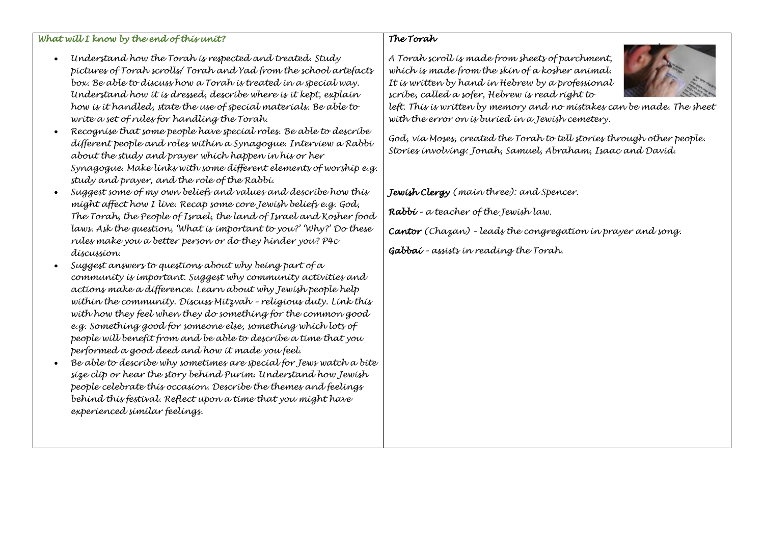## *What will I know by the end of this unit?*

- *Understand how the Torah is respected and treated. Study pictures of Torah scrolls/ Torah and Yad from the school artefacts box. Be able to discuss how a Torah is treated in a special way. Understand how it is dressed, describe where is it kept, explain how is it handled, state the use of special materials. Be able to write a set of rules for handling the Torah.*
- *Recognise that some people have special roles. Be able to describe different people and roles within a Synagogue. Interview a Rabbi about the study and prayer which happen in his or her Synagogue. Make links with some different elements of worship e.g. study and prayer, and the role of the Rabbi.*
- *Suggest some of my own beliefs and values and describe how this might affect how I live. Recap some core Jewish beliefs e.g. God, The Torah, the People of Israel, the land of Israel and Kosher food laws. Ask the question, 'What is important to you?' 'Why?' Do these rules make you a better person or do they hinder you? P4c discussion.*
- *Suggest answers to questions about why being part of a community is important. Suggest why community activities and actions make a difference. Learn about why Jewish people help within the community. Discuss Mitzvah – religious duty. Link this with how they feel when they do something for the common good e.g. Something good for someone else, something which lots of people will benefit from and be able to describe a time that you performed a good deed and how it made you feel.*
- *Be able to describe why sometimes are special for Jews watch a bite size clip or hear the story behind Purim. Understand how Jewish people celebrate this occasion. Describe the themes and feelings behind this festival. Reflect upon a time that you might have experienced similar feelings.*

## *The Torah*

*A Torah scroll is made from sheets of parchment, which is made from the skin of a kosher animal. It is written by hand in Hebrew by a professional scribe, called a sofer, Hebrew is read right to* 



*left. This is written by memory and no mistakes can be made. The sheet with the error on is buried in a Jewish cemetery.* 

*God, via Moses, created the Torah to tell stories through other people. Stories involving: Jonah, Samuel, Abraham, Isaac and David.*

*Jewish Clergy (main three): and Spencer.*

*Rabbi – a teacher of the Jewish law.*

*Cantor (Chazan) – leads the congregation in prayer and song.* 

*Gabbai – assists in reading the Torah.*